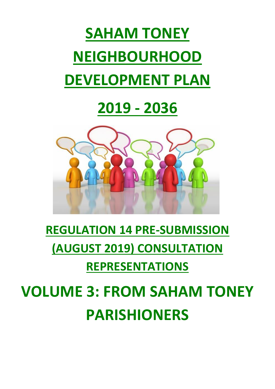# **SAHAM TONEY NEIGHBOURHOOD DEVELOPMENT PLAN**

## **2019 - 2036**



### **REGULATION 14 PRE-SUBMISSION (AUGUST 2019) CONSULTATION REPRESENTATIONS**

**VOLUME 3: FROM SAHAM TONEY PARISHIONERS**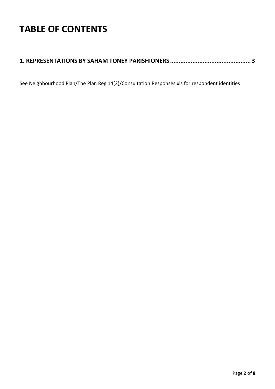### **TABLE OF CONTENTS**

#### **[1. REPRESENTATIONS BY SAHAM TONEY PARISHIONERS](#page-2-0) ............................................... 3**

See Neighbourhood Plan/The Plan Reg 14(2)/Consultation Responses.xls for respondent identities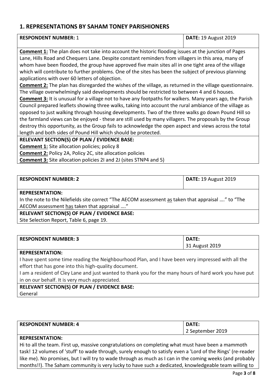#### <span id="page-2-0"></span>**1. REPRESENTATIONS BY SAHAM TONEY PARISHIONERS**

| <b>RESPONDENT NUMBER: 1</b> | DATE: 19 August 2019 |
|-----------------------------|----------------------|
|                             |                      |

**Comment 1:** The plan does not take into account the historic flooding issues at the junction of Pages Lane, Hills Road and Chequers Lane. Despite constant reminders from villagers in this area, many of whom have been flooded, the group have approved five main sites all in one tight area of the village which will contribute to further problems. One of the sites has been the subject of previous planning applications with over 60 letters of objection.

**Comment 2:** The plan has disregarded the wishes of the village, as returned in the village questionnaire. The village overwhelmingly said developments should be restricted to between 4 and 6 houses.

**Comment 3:** It is unusual for a village not to have any footpaths for walkers. Many years ago, the Parish Council prepared leaflets showing three walks, taking into account the rural ambiance of the village as opposed to just walking through housing developments. Two of the three walks go down Pound Hill so the farmland views can be enjoyed - these are still used by many villagers. The proposals by the Group destroy this opportunity, as the Group fails to acknowledge the open aspect and views across the total length and both sides of Pound Hill which should be protected.

#### **RELEVANT SECTION(S) OF PLAN / EVIDENCE BASE:**

**Comment 1:** Site allocation policies; policy 8

**Comment 2:** Policy 2A, Policy 2C, site allocation policies

**Comment 3:** Site allocation policies 2I and 2J (sites STNP4 and 5)

| <b>RESPONDENT NUMBER: 2</b>                                                                      | <b>DATE: 19 August 2019</b> |
|--------------------------------------------------------------------------------------------------|-----------------------------|
| <b>REPRESENTATION:</b>                                                                           |                             |
| ila tha inata ta tha AlilaCalala aite agusant (CTha AECONA agus concontractalism that agus sizal |                             |

In the note to the Nilefields site correct "The AECOM assessment as taken that appraisal …." to "The AECOM assessment has taken that appraisal …."

#### **RELEVANT SECTION(S) OF PLAN / EVIDENCE BASE:**

Site Selection Report, Table 6, page 19.

| <b>RESPONDENT NUMBER: 3</b> | DATE.          |
|-----------------------------|----------------|
|                             | 31 August 2019 |

#### **REPRESENTATION:**

I have spent some time reading the Neighbourhood Plan, and I have been very impressed with all the effort that has gone into this high-quality document.

I am a resident of Cley Lane and just wanted to thank you for the many hours of hard work you have put in on our behalf. It is very much appreciated.

#### **RELEVANT SECTION(S) OF PLAN / EVIDENCE BASE:**

General

| <b>RESPONDENT NUMBER: 4</b> | DATE:            |
|-----------------------------|------------------|
|                             | September 2019 ' |

#### **REPRESENTATION:**

Hi to all the team. First up, massive congratulations on completing what must have been a mammoth task! 12 volumes of 'stuff' to wade through, surely enough to satisfy even a 'Lord of the Rings' (re-reader like me). No promises, but I will try to wade through as much as I can in the coming weeks (and probably months!!). The Saham community is very lucky to have such a dedicated, knowledgeable team willing to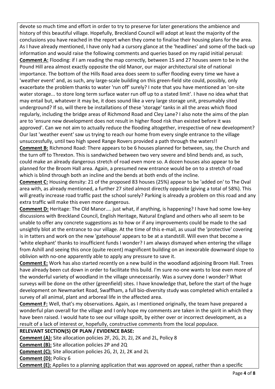devote so much time and effort in order to try to preserve for later generations the ambience and history of this beautiful village. Hopefully, Breckland Council will adopt at least the majority of the conclusions you have reached in the report when they come to finalise their housing plans for the area. As I have already mentioned, I have only had a cursory glance at the 'headlines' and some of the back-up information and would raise the following comments and queries based on my rapid initial perusal: **Comment A:** Flooding: if I am reading the map correctly, between 15 and 27 houses seem to be in the Pound Hill area almost exactly opposite the old Manor, our major architectural site of national importance. The bottom of the Hills Road area does seem to suffer flooding every time we have a 'weather event' and, as such, any large-scale building on this green-field site could, possibly, only exacerbate the problem thanks to water 'run off' surely? I note that you have mentioned an 'on-site water storage... to store long term surface water run off up to a stated limit'. I have no idea what that may entail but, whatever it may be, it does sound like a very large storage unit, presumably sited underground? If so, will there be installations of these 'storage' tanks in all the areas which flood regularly, including the bridge areas of Richmond Road and Cley Lane? I also note the aims of the plan are to 'ensure new development does not result in higher flood risk than existed before it was approved'. Can we not aim to actually reduce the flooding altogether, irrespective of new development? Our last 'weather event' saw us trying to reach our home from every single entrance to the village unsuccessfully, until two high speed Range Rovers provided a path through the waters!!

**Comment B:** Richmond Road: There appears to be 6 houses planned for between, say, the Church and the turn off to Threxton. This is sandwiched between two very severe and blind bends and, as such, could make an already dangerous stretch of road even more so. A dozen houses also appear to be planned for the Broom Hall area. Again, a presumed new entrance would be on to a stretch of road which is blind through both an incline and the bends at both ends of the incline.

**Comment C:** Housing density: 21 of the proposed 83 houses (25%) appear to be 'added on' to The Oval area with, as already mentioned, a further 27 sited almost directly opposite (giving a total of 58%). This will greatly increase road traffic past the school surely? Parking is already a problem on this road and any extra traffic will make this even more dangerous.

**Comment D:** Heritage: The Old Manor.... just what, if anything, is happening? I have had some low-key discussions with Breckland Council, English Heritage, Natural England and others who all seem to be unable to offer any concrete suggestions as to how or if any improvements could be made to the sad unsightly blot at the entrance to our village. At the time of this e-mail, as usual the 'protective' covering is in tatters and work on the new 'gatehouse' appears to be at a standstill. Will even that become a 'white elephant' thanks to insufficient funds I wonder? I am always dismayed when entering the village from Ashill and seeing this once (quite recent) magnificent building on an inexorable downward slope to oblivion with no-one apparently able to apply any pressure to save it.

**Comment E:** Work has also started recently on a new build in the woodland adjoining Broom Hall. Trees have already been cut down in order to facilitate this build. I'm sure no-one wants to lose even more of the wonderful variety of woodland in the village unnecessarily. Was a survey done I wonder? What surveys will be done on the other (greenfield) sites. I have knowledge that, before the start of the huge development on Newmarket Road, Swaffham, a full bio-diversity study was completed which entailed a survey of all animal, plant and arboreal life in the affected area.

**Comment F:** Well, that's my observations. Again, as I mentioned originally, the team have prepared a wonderful plan overall for the village and I only hope my comments are taken in the spirit in which they have been raised. I would hate to see our village spoilt, by either over or incorrect development, as a result of a lack of interest or, hopefully, constructive comments from the local populace.

#### **RELEVANT SECTION(S) OF PLAN / EVIDENCE BASE:**

**Comment (A):** Site allocation policies 2F, 2G, 2I, 2J, 2K and 2L, Policy 8

**Comment (B):** Site allocation policies 2P and 2Q

**Comment (C):** Site allocation policies 2G, 2I, 2J, 2K and 2L

**Comment (D):** Policy 6

**Comment (E):** Applies to a planning application that was approved on appeal, rather than a specific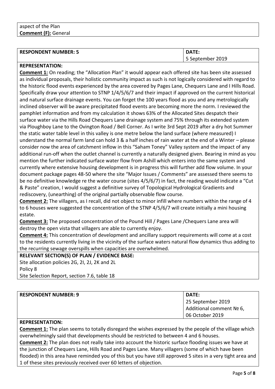| <b>RESPONDENT NUMBER: 5</b> | DATE:            |
|-----------------------------|------------------|
|                             | 5 September 2019 |

#### **REPRESENTATION:**

**Comment 1:** On reading; the "Allocation Plan" it would appear each offered site has been site assessed as individual proposals, their holistic community impact as such is not logically considered with regard to the historic flood events experienced by the area covered by Pages Lane, Chequers Lane and I Hills Road. Specifically draw your attention to STNP 1/4/5/6/7 and their impact if approved on the current historical and natural surface drainage events. You can forget the 100 years flood as you and any metrologically inclined observer will be aware precipitated flood events are becoming more the norm. I reviewed the pamphlet information and from my calculation it shows 63% of the Allocated Sites despatch their surface water via the Hills Road Chequers Lane drainage system and 75% through its extended system via Ploughboy Lane to the Ovington Road / Bell Corner. As I write 3rd Sept 2019 after a dry hot Summer the static water table level in this valley is one metre below the land surface (where measured) I understand the normal farm land can hold 3 & a half inches of rain water at the end of a Winter – please consider now the area of catchment inflow in this "Saham Toney" Valley system and the impact of any additional run-off when the outlet channel is currently a naturally designed given. Bearing in mind as you mention the further indicated surface water flow from Ashill which enters into the same system and currently where extensive housing development is in progress this will further add flow volume. In your document package pages 48-50 where the site "Major Issues / Comments" are assessed there seems to be no definitive knowledge re the water course (sites 4/5/6/7) in fact, the reading would indicate a "Cut & Paste" creation, I would suggest a definitive survey of Topological Hydrological Gradients and rediscovery, (unearthing) of the original partially observable flow course.

**Comment 2:** The villagers, as I recall, did not object to minor infill where numbers within the range of 4 to 6 houses were suggested the concentration of the STNP 4/5/6/7 will create initially a mini housing estate.

**Comment 3:** The proposed concentration of the Pound Hill / Pages Lane /Chequers Lane area will destroy the open vista that villagers are able to currently enjoy.

**Comment 4:** This concentration of development and ancillary support requirements will come at a cost to the residents currently living in the vicinity of the surface waters natural flow dynamics thus adding to the recurring sewage overspills when capacities are overwhelmed.

**RELEVANT SECTION(S) OF PLAN / EVIDENCE BASE:** Site allocation policies 2G, 2I, 2J, 2K and 2L Policy 8

Site Selection Report, section 7.6, table 18

| <b>RESPONDENT NUMBER: 9</b> | DATE:                    |
|-----------------------------|--------------------------|
|                             | 25 September 2019        |
|                             | Additional comment Nº 6, |
|                             | 06 October 2019          |

#### **REPRESENTATION:**

**Comment 1:** The plan seems to totally disregard the wishes expressed by the people of the village which overwhelmingly said that developments should be restricted to between 4 and 6 houses.

**Comment 2:** The plan does not really take into account the historic surface flooding issues we have at the junction of Chequers Lane, Hills Road and Pages Lane. Many villagers (some of which have been flooded) in this area have reminded you of this but you have still approved 5 sites in a very tight area and 1 of these sites previously received over 60 letters of objection.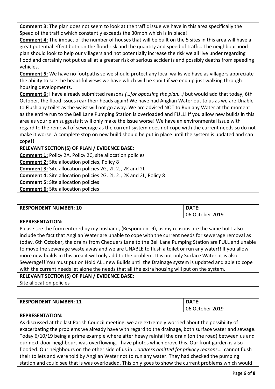**Comment 3:** The plan does not seem to look at the traffic issue we have in this area specifically the Speed of the traffic which constantly exceeds the 30mph which is in place!

**Comment 4:** The impact of the number of houses that will be built on the 5 sites in this area will have a great potential effect both on the flood risk and the quantity and speed of traffic. The neighbourhood plan should look to help our villagers and not potentially increase the risk we all live under regarding flood and certainly not put us all at a greater risk of serious accidents and possibly deaths from speeding vehicles.

**Comment 5:** We have no footpaths so we should protect any local walks we have as villagers appreciate the ability to see the beautiful views we have which will be spoilt if we end up just walking through housing developments.

**Comment 6:** I have already submitted reasons *(…for opposing the plan…)* but would add that today, 6th October, the flood issues rear their heads again! We have had Anglian Water out to us as we are Unable to Flush any toilet as the waist will not go away. We are advised NOT to Run any Water at the moment as the entire run to the Bell Lane Pumping Station is overloaded and FULL! If you allow new builds in this area as your plan suggests it will only make the issue worse! We have an environmental issue with regard to the removal of sewerage as the current system does not cope with the current needs so do not make it worse. A complete stop on new build should be put in place until the system is updated and can cope!!

**RELEVANT SECTION(S) OF PLAN / EVIDENCE BASE:**

**Comment 1:** Policy 2A, Policy 2C, site allocation policies

**Comment 2:** Site allocation policies, Policy 8

**Comment 3:** Site allocation policies 2G, 2I, 2J, 2K and 2L

**Comment 4:** Site allocation policies 2G, 2I, 2J, 2K and 2L, Policy 8

**Comment 5:** Site allocation policies

**Comment 6:** Site allocation policies

| <b>RESPONDENT NUMBER: 10</b> | <b>DATF</b><br>.   |
|------------------------------|--------------------|
|                              | October 2019<br>06 |

#### **REPRESENTATION:**

Please see the form entered by my husband, (Respondent 9), as my reasons are the same but I also include the fact that Anglian Water are unable to cope with the current needs for sewerage removal as today, 6th October, the drains from Chequers Lane to the Bell Lane Pumping Station are FULL and unable to move the sewerage waste away and we are UNABLE to flush a toilet or run any water!! If you allow more new builds in this area it will only add to the problem. It is not only Surface Water, it is also Sewerage!! You must put on Hold ALL new Builds until the Drainage system is updated and able to cope with the current needs let alone the needs that all the extra housing will put on the system.

#### **RELEVANT SECTION(S) OF PLAN / EVIDENCE BASE:**

Site allocation policies

| <b>RESPONDENT NUMBER: 11</b> | DATE:           |
|------------------------------|-----------------|
|                              | 06 October 2019 |

#### **REPRESENTATION:**

As discussed at the last Parish Council meeting, we are extremely worried about the possibility of exacerbating the problems we already have with regard to the drainage, both surface water and sewage. Today 6/10/19 being a prime example where after heavy rainfall the drain (on the road) between us and our next-door neighbours was overflowing. I have photos which prove this. Our front garden is also flooded. Our neighbours on the other side of us in '..*address omitted for privacy reasons*…' cannot flush their toilets and were told by Anglian Water not to run any water. They had checked the pumping station and could see that is was overloaded. This only goes to show the current problems which would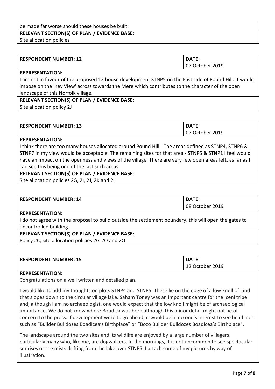#### be made far worse should these houses be built. **RELEVANT SECTION(S) OF PLAN / EVIDENCE BASE:**

Site allocation policies

| <b>RESPONDENT NUMBER: 12</b> | DATE:           |
|------------------------------|-----------------|
|                              | 07 October 2019 |

#### **REPRESENTATION:**

I am not in favour of the proposed 12 house development STNP5 on the East side of Pound Hill. It would impose on the 'Key View' across towards the Mere which contributes to the character of the open landscape of this Norfolk village.

#### **RELEVANT SECTION(S) OF PLAN / EVIDENCE BASE:**

Site allocation policy 2J

| <b>RESPONDENT NUMBER: 13</b> | DATE:        |
|------------------------------|--------------|
|                              | October 2019 |

#### **REPRESENTATION:**

I think there are too many houses allocated around Pound Hill - The areas defined as STNP4, STNP6 & STNP7 in my view would be acceptable. The remaining sites for that area - STNP5 & STNP1 I feel would have an impact on the openness and views of the village. There are very few open areas left, as far as I can see this being one of the last such areas

#### **RELEVANT SECTION(S) OF PLAN / EVIDENCE BASE:**

Site allocation policies 2G, 2I, 2J, 2K and 2L

| <b>RESPONDENT NUMBER: 14</b> | DATE:           |
|------------------------------|-----------------|
|                              | 08 October 2019 |

#### **REPRESENTATION:**

I do not agree with the proposal to build outside the settlement boundary. this will open the gates to uncontrolled building.

#### **RELEVANT SECTION(S) OF PLAN / EVIDENCE BASE:**

Policy 2C, site allocation policies 2G-2O and 2Q

| <b>RESPONDENT NUMBER: 15</b> | DATE:        |
|------------------------------|--------------|
|                              | October 2019 |

#### **REPRESENTATION:**

Congratulations on a well written and detailed plan.

I would like to add my thoughts on plots STNP4 and STNP5. These lie on the edge of a low knoll of land that slopes down to the circular village lake. Saham Toney was an important centre for the Iceni tribe and, although I am no archaeologist, one would expect that the low knoll might be of archaeological importance. We do not know where Boudica was born although this minor detail might not be of concern to the press. If development were to go ahead, it would be in no one's interest to see headlines such as "Builder Bulldozes Boadicea's Birthplace" or "Bozo Builder Bulldozes Boadicea's Birthplace".

The landscape around the two sites and its wildlife are enjoyed by a large number of villagers, particularly many who, like me, are dogwalkers. In the mornings, it is not uncommon to see spectacular sunrises or see mists drifting from the lake over STNP5. I attach some of my pictures by way of illustration.